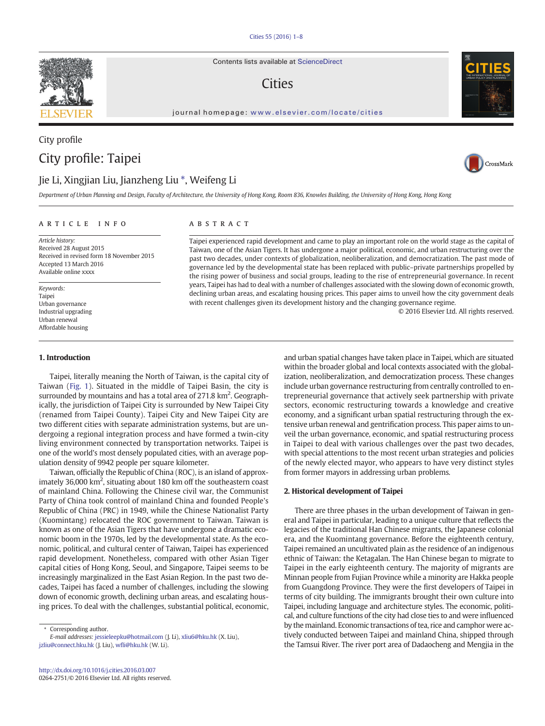Contents lists available at ScienceDirect

## **Cities**

journal homepage: <www.elsevier.com/locate/cities>

# City profile: Taipei

Taipei experienced rapid development and came to play an important role on the world stage as the capital of Taiwan, one of the Asian Tigers. It has undergone a major political, economic, and urban restructuring over the past two decades, under contexts of globalization, neoliberalization, and democratization. The past mode of governance led by the developmental state has been replaced with public–private partnerships propelled by the rising power of business and social groups, leading to the rise of entrepreneurial governance. In recent years, Taipei has had to deal with a number of challenges associated with the slowing down of economic growth, declining urban areas, and escalating housing prices. This paper aims to unveil how the city government deals with recent challenges given its development history and the changing governance regime.

© 2016 Elsevier Ltd. All rights reserved.

Taipei, literally meaning the North of Taiwan, is the capital city of Taiwan [\(Fig. 1\)](#page-1-0). Situated in the middle of Taipei Basin, the city is surrounded by mountains and has a total area of 271.8  $\rm km^2$ . Geographically, the jurisdiction of Taipei City is surrounded by New Taipei City (renamed from Taipei County). Taipei City and New Taipei City are two different cities with separate administration systems, but are undergoing a regional integration process and have formed a twin-city living environment connected by transportation networks. Taipei is one of the world's most densely populated cities, with an average population density of 9942 people per square kilometer.

Taiwan, officially the Republic of China (ROC), is an island of approximately 36,000 km<sup>2</sup>, situating about 180 km off the southeastern coast of mainland China. Following the Chinese civil war, the Communist Party of China took control of mainland China and founded People's Republic of China (PRC) in 1949, while the Chinese Nationalist Party (Kuomintang) relocated the ROC government to Taiwan. Taiwan is known as one of the Asian Tigers that have undergone a dramatic economic boom in the 1970s, led by the developmental state. As the economic, political, and cultural center of Taiwan, Taipei has experienced rapid development. Nonetheless, compared with other Asian Tiger capital cities of Hong Kong, Seoul, and Singapore, Taipei seems to be increasingly marginalized in the East Asian Region. In the past two decades, Taipei has faced a number of challenges, including the slowing down of economic growth, declining urban areas, and escalating housing prices. To deal with the challenges, substantial political, economic,

Corresponding author.

E-mail addresses: jessieleepku@hotmail.com (J. Li), xliu6@hku.hk (X. Liu), jzliu@connect.hku.hk (J. Liu), wfl[i@hku.hk](mailto:wfli@hku.hk) (W. Li).

ization, neoliberalization, and democratization process. These changes include urban governance restructuring from centrally controlled to entrepreneurial governance that actively seek partnership with private sectors, economic restructuring towards a knowledge and creative economy, and a significant urban spatial restructuring through the extensive urban renewal and gentrification process. This paper aims to unveil the urban governance, economic, and spatial restructuring process in Taipei to deal with various challenges over the past two decades, with special attentions to the most recent urban strategies and policies of the newly elected mayor, who appears to have very distinct styles from former mayors in addressing urban problems.

and urban spatial changes have taken place in Taipei, which are situated within the broader global and local contexts associated with the global-

#### 2. Historical development of Taipei

There are three phases in the urban development of Taiwan in general and Taipei in particular, leading to a unique culture that reflects the legacies of the traditional Han Chinese migrants, the Japanese colonial era, and the Kuomintang governance. Before the eighteenth century, Taipei remained an uncultivated plain as the residence of an indigenous ethnic of Taiwan: the Ketagalan. The Han Chinese began to migrate to Taipei in the early eighteenth century. The majority of migrants are Minnan people from Fujian Province while a minority are Hakka people from Guangdong Province. They were the first developers of Taipei in terms of city building. The immigrants brought their own culture into Taipei, including language and architecture styles. The economic, political, and culture functions of the city had close ties to and were influenced by the mainland. Economic transactions of tea, rice and camphor were actively conducted between Taipei and mainland China, shipped through the Tamsui River. The river port area of Dadaocheng and Mengjia in the

Jie Li, Xingjian Liu, Jianzheng Liu ⁎, Weifeng Li

Department of Urban Planning and Design, Faculty of Architecture, the University of Hong Kong, Room 836, Knowles Building, the University of Hong Kong, Hong Kong

### article info abstract

Article history: Received 28 August 2015 Received in revised form 18 November 2015 Accepted 13 March 2016 Available online xxxx

Keywords: Taipei Urban governance Industrial upgrading Urban renewal Affordable housing

#### 1. Introduction

City profile



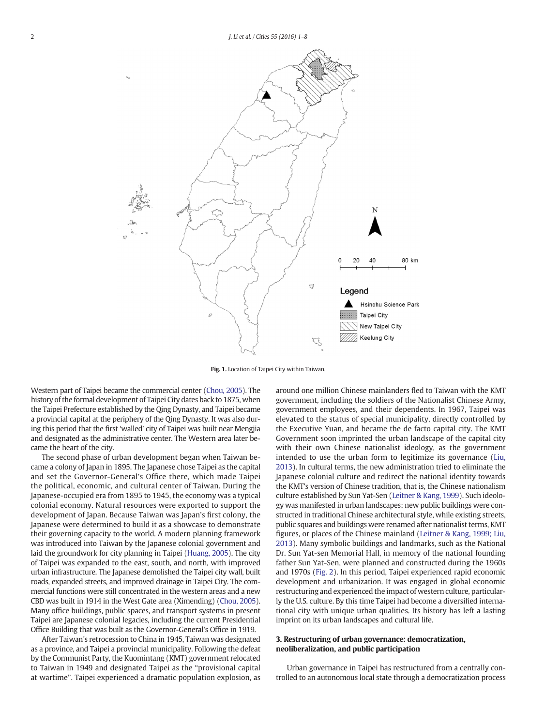<span id="page-1-0"></span>

Fig. 1. Location of Taipei City within Taiwan.

Western part of Taipei became the commercial center ([Chou, 2005\)](#page-6-0). The history of the formal development of Taipei City dates back to 1875, when the Taipei Prefecture established by the Qing Dynasty, and Taipei became a provincial capital at the periphery of the Qing Dynasty. It was also during this period that the first 'walled' city of Taipei was built near Mengjia and designated as the administrative center. The Western area later became the heart of the city.

The second phase of urban development began when Taiwan became a colony of Japan in 1895. The Japanese chose Taipei as the capital and set the Governor-General's Office there, which made Taipei the political, economic, and cultural center of Taiwan. During the Japanese-occupied era from 1895 to 1945, the economy was a typical colonial economy. Natural resources were exported to support the development of Japan. Because Taiwan was Japan's first colony, the Japanese were determined to build it as a showcase to demonstrate their governing capacity to the world. A modern planning framework was introduced into Taiwan by the Japanese colonial government and laid the groundwork for city planning in Taipei ([Huang, 2005\)](#page-7-0). The city of Taipei was expanded to the east, south, and north, with improved urban infrastructure. The Japanese demolished the Taipei city wall, built roads, expanded streets, and improved drainage in Taipei City. The commercial functions were still concentrated in the western areas and a new CBD was built in 1914 in the West Gate area (Ximending) [\(Chou, 2005\)](#page-6-0). Many office buildings, public spaces, and transport systems in present Taipei are Japanese colonial legacies, including the current Presidential Office Building that was built as the Governor-General's Office in 1919.

After Taiwan's retrocession to China in 1945, Taiwan was designated as a province, and Taipei a provincial municipality. Following the defeat by the Communist Party, the Kuomintang (KMT) government relocated to Taiwan in 1949 and designated Taipei as the "provisional capital at wartime". Taipei experienced a dramatic population explosion, as

around one million Chinese mainlanders fled to Taiwan with the KMT government, including the soldiers of the Nationalist Chinese Army, government employees, and their dependents. In 1967, Taipei was elevated to the status of special municipality, directly controlled by the Executive Yuan, and became the de facto capital city. The KMT Government soon imprinted the urban landscape of the capital city with their own Chinese nationalist ideology, as the government intended to use the urban form to legitimize its governance ([Liu,](#page-7-0) [2013\)](#page-7-0). In cultural terms, the new administration tried to eliminate the Japanese colonial culture and redirect the national identity towards the KMT's version of Chinese tradition, that is, the Chinese nationalism culture established by Sun Yat-Sen ([Leitner & Kang, 1999\)](#page-7-0). Such ideology was manifested in urban landscapes: new public buildings were constructed in traditional Chinese architectural style, while existing streets, public squares and buildings were renamed after nationalist terms, KMT figures, or places of the Chinese mainland [\(Leitner & Kang, 1999; Liu,](#page-7-0) [2013\)](#page-7-0). Many symbolic buildings and landmarks, such as the National Dr. Sun Yat-sen Memorial Hall, in memory of the national founding father Sun Yat-Sen, were planned and constructed during the 1960s and 1970s [\(Fig. 2](#page-2-0)). In this period, Taipei experienced rapid economic development and urbanization. It was engaged in global economic restructuring and experienced the impact of western culture, particularly the U.S. culture. By this time Taipei had become a diversified international city with unique urban qualities. Its history has left a lasting imprint on its urban landscapes and cultural life.

#### 3. Restructuring of urban governance: democratization, neoliberalization, and public participation

Urban governance in Taipei has restructured from a centrally controlled to an autonomous local state through a democratization process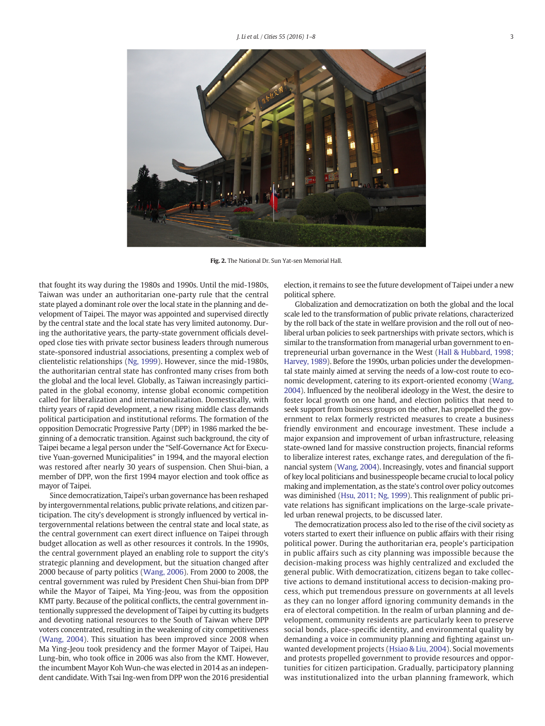<span id="page-2-0"></span>

Fig. 2. The National Dr. Sun Yat-sen Memorial Hall.

that fought its way during the 1980s and 1990s. Until the mid-1980s, Taiwan was under an authoritarian one-party rule that the central state played a dominant role over the local state in the planning and development of Taipei. The mayor was appointed and supervised directly by the central state and the local state has very limited autonomy. During the authoritative years, the party-state government officials developed close ties with private sector business leaders through numerous state-sponsored industrial associations, presenting a complex web of clientelistic relationships ([Ng, 1999](#page-7-0)). However, since the mid-1980s, the authoritarian central state has confronted many crises from both the global and the local level. Globally, as Taiwan increasingly participated in the global economy, intense global economic competition called for liberalization and internationalization. Domestically, with thirty years of rapid development, a new rising middle class demands political participation and institutional reforms. The formation of the opposition Democratic Progressive Party (DPP) in 1986 marked the beginning of a democratic transition. Against such background, the city of Taipei became a legal person under the "Self-Governance Act for Executive Yuan-governed Municipalities" in 1994, and the mayoral election was restored after nearly 30 years of suspension. Chen Shui-bian, a member of DPP, won the first 1994 mayor election and took office as mayor of Taipei.

Since democratization, Taipei's urban governance has been reshaped by intergovernmental relations, public private relations, and citizen participation. The city's development is strongly influenced by vertical intergovernmental relations between the central state and local state, as the central government can exert direct influence on Taipei through budget allocation as well as other resources it controls. In the 1990s, the central government played an enabling role to support the city's strategic planning and development, but the situation changed after 2000 because of party politics ([Wang, 2006\)](#page-7-0). From 2000 to 2008, the central government was ruled by President Chen Shui-bian from DPP while the Mayor of Taipei, Ma Ying-Jeou, was from the opposition KMT party. Because of the political conflicts, the central government intentionally suppressed the development of Taipei by cutting its budgets and devoting national resources to the South of Taiwan where DPP voters concentrated, resulting in the weakening of city competitiveness [\(Wang, 2004](#page-7-0)). This situation has been improved since 2008 when Ma Ying-Jeou took presidency and the former Mayor of Taipei, Hau Lung-bin, who took office in 2006 was also from the KMT. However, the incumbent Mayor Koh Wun-che was elected in 2014 as an independent candidate. With Tsai Ing-wen from DPP won the 2016 presidential

election, it remains to see the future development of Taipei under a new political sphere.

Globalization and democratization on both the global and the local scale led to the transformation of public private relations, characterized by the roll back of the state in welfare provision and the roll out of neoliberal urban policies to seek partnerships with private sectors, which is similar to the transformation from managerial urban government to entrepreneurial urban governance in the West [\(Hall & Hubbard, 1998;](#page-6-0) [Harvey, 1989](#page-6-0)). Before the 1990s, urban policies under the developmental state mainly aimed at serving the needs of a low-cost route to economic development, catering to its export-oriented economy [\(Wang,](#page-7-0) [2004](#page-7-0)). Influenced by the neoliberal ideology in the West, the desire to foster local growth on one hand, and election politics that need to seek support from business groups on the other, has propelled the government to relax formerly restricted measures to create a business friendly environment and encourage investment. These include a major expansion and improvement of urban infrastructure, releasing state-owned land for massive construction projects, financial reforms to liberalize interest rates, exchange rates, and deregulation of the financial system ([Wang, 2004](#page-7-0)). Increasingly, votes and financial support of key local politicians and businesspeople became crucial to local policy making and implementation, as the state's control over policy outcomes was diminished ([Hsu, 2011; Ng, 1999](#page-6-0)). This realignment of public private relations has significant implications on the large-scale privateled urban renewal projects, to be discussed later.

The democratization process also led to the rise of the civil society as voters started to exert their influence on public affairs with their rising political power. During the authoritarian era, people's participation in public affairs such as city planning was impossible because the decision-making process was highly centralized and excluded the general public. With democratization, citizens began to take collective actions to demand institutional access to decision-making process, which put tremendous pressure on governments at all levels as they can no longer afford ignoring community demands in the era of electoral competition. In the realm of urban planning and development, community residents are particularly keen to preserve social bonds, place-specific identity, and environmental quality by demanding a voice in community planning and fighting against unwanted development projects [\(Hsiao & Liu, 2004\)](#page-6-0). Social movements and protests propelled government to provide resources and opportunities for citizen participation. Gradually, participatory planning was institutionalized into the urban planning framework, which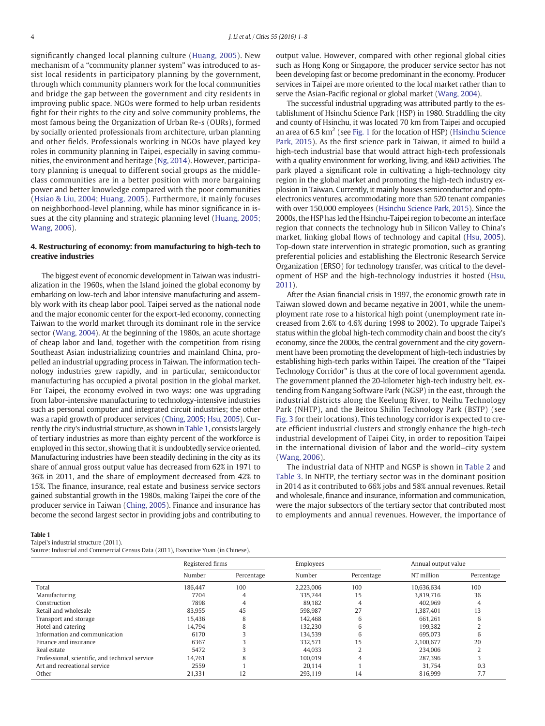significantly changed local planning culture ([Huang, 2005](#page-7-0)). New mechanism of a "community planner system" was introduced to assist local residents in participatory planning by the government, through which community planners work for the local communities and bridge the gap between the government and city residents in improving public space. NGOs were formed to help urban residents fight for their rights to the city and solve community problems, the most famous being the Organization of Urban Re-s (OURs), formed by socially oriented professionals from architecture, urban planning and other fields. Professionals working in NGOs have played key roles in community planning in Taipei, especially in saving communities, the environment and heritage [\(Ng, 2014\)](#page-7-0). However, participatory planning is unequal to different social groups as the middleclass communities are in a better position with more bargaining power and better knowledge compared with the poor communities ([Hsiao & Liu, 2004; Huang, 2005](#page-6-0)). Furthermore, it mainly focuses on neighborhood-level planning, while has minor significance in issues at the city planning and strategic planning level [\(Huang, 2005;](#page-7-0) [Wang, 2006](#page-7-0)).

#### 4. Restructuring of economy: from manufacturing to high-tech to creative industries

The biggest event of economic development in Taiwan was industrialization in the 1960s, when the Island joined the global economy by embarking on low-tech and labor intensive manufacturing and assembly work with its cheap labor pool. Taipei served as the national node and the major economic center for the export-led economy, connecting Taiwan to the world market through its dominant role in the service sector [\(Wang, 2004](#page-7-0)). At the beginning of the 1980s, an acute shortage of cheap labor and land, together with the competition from rising Southeast Asian industrializing countries and mainland China, propelled an industrial upgrading process in Taiwan. The information technology industries grew rapidly, and in particular, semiconductor manufacturing has occupied a pivotal position in the global market. For Taipei, the economy evolved in two ways: one was upgrading from labor-intensive manufacturing to technology-intensive industries such as personal computer and integrated circuit industries; the other was a rapid growth of producer services [\(Ching, 2005; Hsu, 2005](#page-6-0)). Currently the city's industrial structure, as shown in Table 1, consists largely of tertiary industries as more than eighty percent of the workforce is employed in this sector, showing that it is undoubtedly service oriented. Manufacturing industries have been steadily declining in the city as its share of annual gross output value has decreased from 62% in 1971 to 36% in 2011, and the share of employment decreased from 42% to 15%. The finance, insurance, real estate and business service sectors gained substantial growth in the 1980s, making Taipei the core of the producer service in Taiwan [\(Ching, 2005](#page-6-0)). Finance and insurance has become the second largest sector in providing jobs and contributing to

Table 1

Taipei's industrial structure (2011).

Source: Industrial and Commercial Census Data (2011), Executive Yuan (in Chinese).

output value. However, compared with other regional global cities such as Hong Kong or Singapore, the producer service sector has not been developing fast or become predominant in the economy. Producer services in Taipei are more oriented to the local market rather than to serve the Asian-Pacific regional or global market ([Wang, 2004\)](#page-7-0).

The successful industrial upgrading was attributed partly to the establishment of Hsinchu Science Park (HSP) in 1980. Straddling the city and county of Hsinchu, it was located 70 km from Taipei and occupied an area of 6.5  $km^2$  (see [Fig. 1](#page-1-0) for the location of HSP) [\(Hsinchu Science](#page-6-0) [Park, 2015](#page-6-0)). As the first science park in Taiwan, it aimed to build a high-tech industrial base that would attract high-tech professionals with a quality environment for working, living, and R&D activities. The park played a significant role in cultivating a high-technology city region in the global market and promoting the high-tech industry explosion in Taiwan. Currently, it mainly houses semiconductor and optoelectronics ventures, accommodating more than 520 tenant companies with over 150,000 employees [\(Hsinchu Science Park, 2015\)](#page-6-0). Since the 2000s, the HSP has led the Hsinchu-Taipei region to become an interface region that connects the technology hub in Silicon Valley to China's market, linking global flows of technology and capital ([Hsu, 2005](#page-7-0)). Top-down state intervention in strategic promotion, such as granting preferential policies and establishing the Electronic Research Service Organization (ERSO) for technology transfer, was critical to the development of HSP and the high-technology industries it hosted ([Hsu,](#page-6-0) [2011\)](#page-6-0).

After the Asian financial crisis in 1997, the economic growth rate in Taiwan slowed down and became negative in 2001, while the unemployment rate rose to a historical high point (unemployment rate increased from 2.6% to 4.6% during 1998 to 2002). To upgrade Taipei's status within the global high-tech commodity chain and boost the city's economy, since the 2000s, the central government and the city government have been promoting the development of high-tech industries by establishing high-tech parks within Taipei. The creation of the "Taipei Technology Corridor" is thus at the core of local government agenda. The government planned the 20-kilometer high-tech industry belt, extending from Nangang Software Park (NGSP) in the east, through the industrial districts along the Keelung River, to Neihu Technology Park (NHTP), and the Beitou Shilin Technology Park (BSTP) (see [Fig. 3](#page-4-0) for their locations). This technology corridor is expected to create efficient industrial clusters and strongly enhance the high-tech industrial development of Taipei City, in order to reposition Taipei in the international division of labor and the world–city system [\(Wang, 2006\)](#page-7-0).

The industrial data of NHTP and NGSP is shown in [Table 2](#page-4-0) and [Table 3](#page-5-0). In NHTP, the tertiary sector was in the dominant position in 2014 as it contributed to 66% jobs and 58% annual revenues. Retail and wholesale, finance and insurance, information and communication, were the major subsectors of the tertiary sector that contributed most to employments and annual revenues. However, the importance of

|                                                 | Registered firms |            | Employees |            | Annual output value |            |
|-------------------------------------------------|------------------|------------|-----------|------------|---------------------|------------|
|                                                 | Number           | Percentage | Number    | Percentage | NT million          | Percentage |
| Total                                           | 186,447          | 100        | 2,223,006 | 100        | 10.636.634          | 100        |
| Manufacturing                                   | 7704             | 4          | 335.744   | 15         | 3.819.716           | 36         |
| Construction                                    | 7898             |            | 89.182    |            | 402.969             |            |
| Retail and wholesale                            | 83.955           | 45         | 598.987   | 27         | 1.387.401           | 13         |
| Transport and storage                           | 15.436           | 8          | 142.468   | 6          | 661.261             | 6          |
| Hotel and catering                              | 14.794           | 8          | 132.230   | h          | 199,382             |            |
| Information and communication                   | 6170             |            | 134.539   | 6          | 695.073             | 6          |
| Finance and insurance                           | 6367             |            | 332.571   | 15         | 2.100.677           | 20         |
| Real estate                                     | 5472             |            | 44.033    |            | 234.006             |            |
| Professional, scientific, and technical service | 14.761           | 8          | 100.019   |            | 287.396             |            |
| Art and recreational service                    | 2559             |            | 20.114    |            | 31.754              | 0.3        |
| Other                                           | 21.331           | 12         | 293.119   | 14         | 816.999             | 7.7        |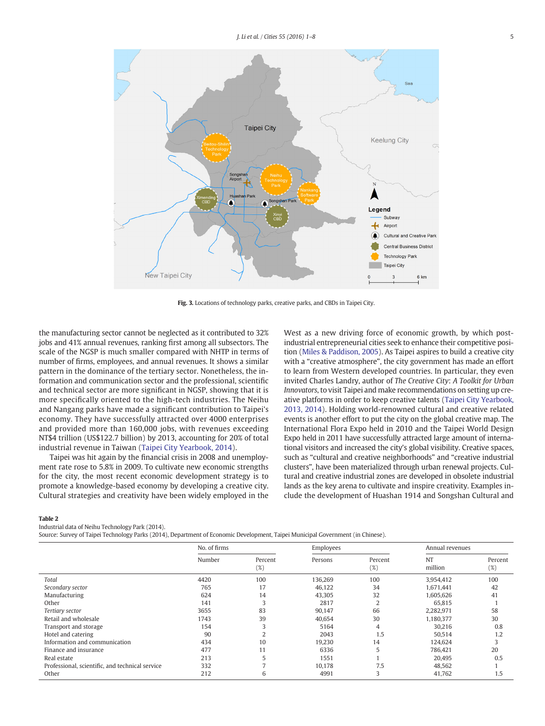<span id="page-4-0"></span>

Fig. 3. Locations of technology parks, creative parks, and CBDs in Taipei City.

the manufacturing sector cannot be neglected as it contributed to 32% jobs and 41% annual revenues, ranking first among all subsectors. The scale of the NGSP is much smaller compared with NHTP in terms of number of firms, employees, and annual revenues. It shows a similar pattern in the dominance of the tertiary sector. Nonetheless, the information and communication sector and the professional, scientific and technical sector are more significant in NGSP, showing that it is more specifically oriented to the high-tech industries. The Neihu and Nangang parks have made a significant contribution to Taipei's economy. They have successfully attracted over 4000 enterprises and provided more than 160,000 jobs, with revenues exceeding NT\$4 trillion (US\$122.7 billion) by 2013, accounting for 20% of total industrial revenue in Taiwan ([Taipei City Yearbook, 2014\)](#page-7-0).

Taipei was hit again by the financial crisis in 2008 and unemployment rate rose to 5.8% in 2009. To cultivate new economic strengths for the city, the most recent economic development strategy is to promote a knowledge-based economy by developing a creative city. Cultural strategies and creativity have been widely employed in the

West as a new driving force of economic growth, by which postindustrial entrepreneurial cities seek to enhance their competitive position [\(Miles & Paddison, 2005\)](#page-7-0). As Taipei aspires to build a creative city with a "creative atmosphere", the city government has made an effort to learn from Western developed countries. In particular, they even invited Charles Landry, author of The Creative City: A Toolkit for Urban Innovators, to visit Taipei and make recommendations on setting up creative platforms in order to keep creative talents [\(Taipei City Yearbook,](#page-7-0) [2013, 2014\)](#page-7-0). Holding world-renowned cultural and creative related events is another effort to put the city on the global creative map. The International Flora Expo held in 2010 and the Taipei World Design Expo held in 2011 have successfully attracted large amount of international visitors and increased the city's global visibility. Creative spaces, such as "cultural and creative neighborhoods" and "creative industrial clusters", have been materialized through urban renewal projects. Cultural and creative industrial zones are developed in obsolete industrial lands as the key arena to cultivate and inspire creativity. Examples include the development of Huashan 1914 and Songshan Cultural and

#### Table 2

Industrial data of Neihu Technology Park (2014).

Source: Survey of Taipei Technology Parks (2014), Department of Economic Development, Taipei Municipal Government (in Chinese).

|                                                 | No. of firms |                | Employees |                | Annual revenues      |                |
|-------------------------------------------------|--------------|----------------|-----------|----------------|----------------------|----------------|
|                                                 | Number       | Percent<br>(%) | Persons   | Percent<br>(%) | <b>NT</b><br>million | Percent<br>(%) |
| Total                                           | 4420         | 100            | 136,269   | 100            | 3,954,412            | 100            |
| Secondary sector                                | 765          | 17             | 46.122    | 34             | 1.671.441            | 42             |
| Manufacturing                                   | 624          | 14             | 43,305    | 32             | 1,605,626            | 41             |
| Other                                           | 141          |                | 2817      |                | 65,815               |                |
| Tertiary sector                                 | 3655         | 83             | 90,147    | 66             | 2.282.971            | 58             |
| Retail and wholesale                            | 1743         | 39             | 40,654    | 30             | 1,180,377            | 30             |
| Transport and storage                           | 154          |                | 5164      | 4              | 30.216               | 0.8            |
| Hotel and catering                              | 90           |                | 2043      | 1.5            | 50,514               | 1.2            |
| Information and communication                   | 434          | 10             | 19,230    | 14             | 124,624              |                |
| Finance and insurance                           | 477          | 11             | 6336      |                | 786,421              | 20             |
| Real estate                                     | 213          |                | 1551      |                | 20.495               | 0.5            |
| Professional, scientific, and technical service | 332          |                | 10,178    | 7.5            | 48,562               |                |
| Other                                           | 212          | 6              | 4991      | 3              | 41,762               | 1.5            |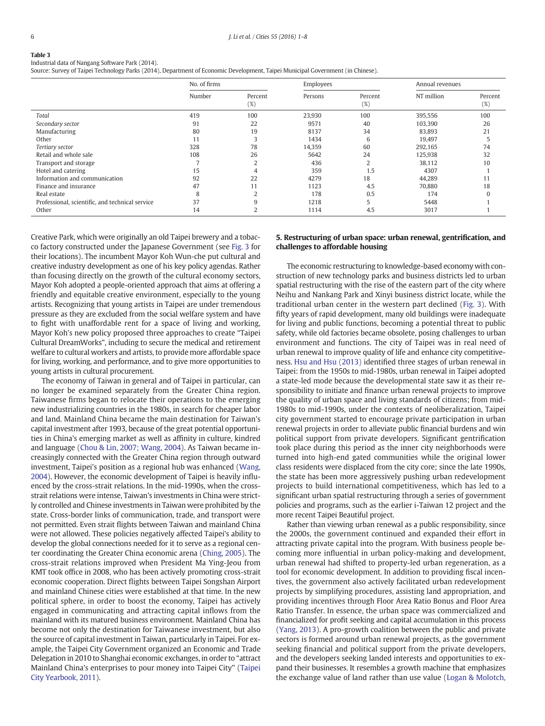#### <span id="page-5-0"></span>Table 3

Industrial data of Nangang Software Park (2014).

Source: Survey of Taipei Technology Parks (2014), Department of Economic Development, Taipei Municipal Government (in Chinese).

|                                                 | No. of firms   |                | Employees |                | Annual revenues |                   |
|-------------------------------------------------|----------------|----------------|-----------|----------------|-----------------|-------------------|
|                                                 | Number         | Percent<br>(%) | Persons   | Percent<br>(%) | NT million      | Percent<br>$(\%)$ |
| Total                                           | 419            | 100            | 23,930    | 100            | 395,556         | 100               |
| Secondary sector                                | 91             | 22             | 9571      | 40             | 103,390         | 26                |
| Manufacturing                                   | 80             | 19             | 8137      | 34             | 83,893          | 21                |
| Other                                           | 11             |                | 1434      | 6              | 19.497          |                   |
| Tertiary sector                                 | 328            | 78             | 14,359    | 60             | 292,165         | 74                |
| Retail and whole sale                           | 108            | 26             | 5642      | 24             | 125,938         | 32                |
| Transport and storage                           | $\overline{ }$ |                | 436       | ำ              | 38.112          | 10                |
| Hotel and catering                              | 15             | 4              | 359       | 1.5            | 4307            |                   |
| Information and communication                   | 92             | 22             | 4279      | 18             | 44,289          | 11                |
| Finance and insurance                           | 47             | 11             | 1123      | 4.5            | 70,880          | 18                |
| Real estate                                     | 8              |                | 178       | 0.5            | 174             | $\Omega$          |
| Professional, scientific, and technical service | 37             |                | 1218      | 5              | 5448            |                   |
| Other                                           | 14             |                | 1114      | 4.5            | 3017            |                   |

Creative Park, which were originally an old Taipei brewery and a tobacco factory constructed under the Japanese Government (see [Fig. 3](#page-4-0) for their locations). The incumbent Mayor Koh Wun-che put cultural and creative industry development as one of his key policy agendas. Rather than focusing directly on the growth of the cultural economy sectors, Mayor Koh adopted a people-oriented approach that aims at offering a friendly and equitable creative environment, especially to the young artists. Recognizing that young artists in Taipei are under tremendous pressure as they are excluded from the social welfare system and have to fight with unaffordable rent for a space of living and working, Mayor Koh's new policy proposed three approaches to create "Taipei Cultural DreamWorks", including to secure the medical and retirement welfare to cultural workers and artists, to provide more affordable space for living, working, and performance, and to give more opportunities to young artists in cultural procurement.

The economy of Taiwan in general and of Taipei in particular, can no longer be examined separately from the Greater China region. Taiwanese firms began to relocate their operations to the emerging new industrializing countries in the 1980s, in search for cheaper labor and land. Mainland China became the main destination for Taiwan's capital investment after 1993, because of the great potential opportunities in China's emerging market as well as affinity in culture, kindred and language ([Chou & Lin, 2007; Wang, 2004\)](#page-6-0). As Taiwan became increasingly connected with the Greater China region through outward investment, Taipei's position as a regional hub was enhanced ([Wang,](#page-7-0) [2004\)](#page-7-0). However, the economic development of Taipei is heavily influenced by the cross-strait relations. In the mid-1990s, when the crossstrait relations were intense, Taiwan's investments in China were strictly controlled and Chinese investments in Taiwan were prohibited by the state. Cross-border links of communication, trade, and transport were not permitted. Even strait flights between Taiwan and mainland China were not allowed. These policies negatively affected Taipei's ability to develop the global connections needed for it to serve as a regional center coordinating the Greater China economic arena ([Ching, 2005](#page-6-0)). The cross-strait relations improved when President Ma Ying-Jeou from KMT took office in 2008, who has been actively promoting cross-strait economic cooperation. Direct flights between Taipei Songshan Airport and mainland Chinese cities were established at that time. In the new political sphere, in order to boost the economy, Taipei has actively engaged in communicating and attracting capital inflows from the mainland with its matured business environment. Mainland China has become not only the destination for Taiwanese investment, but also the source of capital investment in Taiwan, particularly in Taipei. For example, the Taipei City Government organized an Economic and Trade Delegation in 2010 to Shanghai economic exchanges, in order to "attract Mainland China's enterprises to pour money into Taipei City" ([Taipei](#page-7-0) [City Yearbook, 2011\)](#page-7-0).

### 5. Restructuring of urban space: urban renewal, gentrification, and challenges to affordable housing

The economic restructuring to knowledge-based economy with construction of new technology parks and business districts led to urban spatial restructuring with the rise of the eastern part of the city where Neihu and Nankang Park and Xinyi business district locate, while the traditional urban center in the western part declined [\(Fig. 3](#page-4-0)). With fifty years of rapid development, many old buildings were inadequate for living and public functions, becoming a potential threat to public safety, while old factories became obsolete, posing challenges to urban environment and functions. The city of Taipei was in real need of urban renewal to improve quality of life and enhance city competitiveness. [Hsu and Hsu \(2013\)](#page-7-0) identified three stages of urban renewal in Taipei: from the 1950s to mid-1980s, urban renewal in Taipei adopted a state-led mode because the developmental state saw it as their responsibility to initiate and finance urban renewal projects to improve the quality of urban space and living standards of citizens; from mid-1980s to mid-1990s, under the contexts of neoliberalization, Taipei city government started to encourage private participation in urban renewal projects in order to alleviate public financial burdens and win political support from private developers. Significant gentrification took place during this period as the inner city neighborhoods were turned into high-end gated communities while the original lower class residents were displaced from the city core; since the late 1990s, the state has been more aggressively pushing urban redevelopment projects to build international competitiveness, which has led to a significant urban spatial restructuring through a series of government policies and programs, such as the earlier i-Taiwan 12 project and the more recent Taipei Beautiful project.

Rather than viewing urban renewal as a public responsibility, since the 2000s, the government continued and expanded their effort in attracting private capital into the program. With business people becoming more influential in urban policy-making and development, urban renewal had shifted to property-led urban regeneration, as a tool for economic development. In addition to providing fiscal incentives, the government also actively facilitated urban redevelopment projects by simplifying procedures, assisting land appropriation, and providing incentives through Floor Area Ratio Bonus and Floor Area Ratio Transfer. In essence, the urban space was commercialized and financialized for profit seeking and capital accumulation in this process [\(Yang, 2013\)](#page-7-0). A pro-growth coalition between the public and private sectors is formed around urban renewal projects, as the government seeking financial and political support from the private developers, and the developers seeking landed interests and opportunities to expand their businesses. It resembles a growth machine that emphasizes the exchange value of land rather than use value [\(Logan & Molotch,](#page-7-0)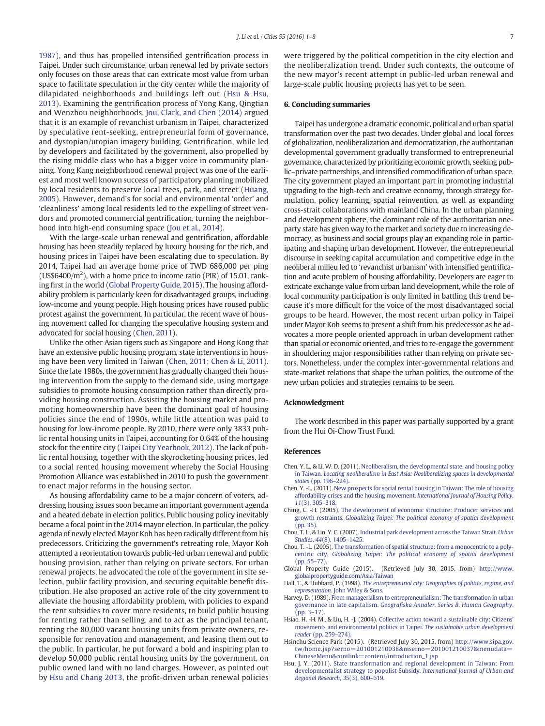<span id="page-6-0"></span>[1987\)](#page-7-0), and thus has propelled intensified gentrification process in Taipei. Under such circumstance, urban renewal led by private sectors only focuses on those areas that can extricate most value from urban space to facilitate speculation in the city center while the majority of dilapidated neighborhoods and buildings left out ([Hsu & Hsu,](#page-7-0) [2013](#page-7-0)). Examining the gentrification process of Yong Kang, Qingtian and Wenzhou neighborhoods, [Jou, Clark, and Chen \(2014\)](#page-7-0) argued that it is an example of revanchist urbanism in Taipei, characterized by speculative rent-seeking, entrepreneurial form of governance, and dystopian/utopian imagery building. Gentrification, while led by developers and facilitated by the government, also propelled by the rising middle class who has a bigger voice in community planning. Yong Kang neighborhood renewal project was one of the earliest and most well known success of participatory planning mobilized by local residents to preserve local trees, park, and street ([Huang,](#page-7-0) [2005](#page-7-0)). However, demand's for social and environmental 'order' and 'cleanliness' among local residents led to the expelling of street vendors and promoted commercial gentrification, turning the neighborhood into high-end consuming space ([Jou et al., 2014](#page-7-0)).

With the large-scale urban renewal and gentrification, affordable housing has been steadily replaced by luxury housing for the rich, and housing prices in Taipei have been escalating due to speculation. By 2014, Taipei had an average home price of TWD 686,000 per ping (US\$6400/ $m<sup>2</sup>$ ), with a home price to income ratio (PIR) of 15.01, ranking first in the world (Global Property Guide, 2015). The housing affordability problem is particularly keen for disadvantaged groups, including low-income and young people. High housing prices have roused public protest against the government. In particular, the recent wave of housing movement called for changing the speculative housing system and advocated for social housing (Chen, 2011).

Unlike the other Asian tigers such as Singapore and Hong Kong that have an extensive public housing program, state interventions in housing have been very limited in Taiwan (Chen, 2011; Chen & Li, 2011). Since the late 1980s, the government has gradually changed their housing intervention from the supply to the demand side, using mortgage subsidies to promote housing consumption rather than directly providing housing construction. Assisting the housing market and promoting homeownership have been the dominant goal of housing policies since the end of 1990s, while little attention was paid to housing for low-income people. By 2010, there were only 3833 public rental housing units in Taipei, accounting for 0.64% of the housing stock for the entire city ([Taipei City Yearbook, 2012\)](#page-7-0). The lack of public rental housing, together with the skyrocketing housing prices, led to a social rented housing movement whereby the Social Housing Promotion Alliance was established in 2010 to push the government to enact major reforms in the housing sector.

As housing affordability came to be a major concern of voters, addressing housing issues soon became an important government agenda and a heated debate in election politics. Public housing policy inevitably became a focal point in the 2014 mayor election. In particular, the policy agenda of newly elected Mayor Koh has been radically different from his predecessors. Criticizing the government's retreating role, Mayor Koh attempted a reorientation towards public-led urban renewal and public housing provision, rather than relying on private sectors. For urban renewal projects, he advocated the role of the government in site selection, public facility provision, and securing equitable benefit distribution. He also proposed an active role of the city government to alleviate the housing affordability problem, with policies to expand the rent subsidies to cover more residents, to build public housing for renting rather than selling, and to act as the principal tenant, renting the 80,000 vacant housing units from private owners, responsible for renovation and management, and leasing them out to the public. In particular, he put forward a bold and inspiring plan to develop 50,000 public rental housing units by the government, on public owned land with no land charges. However, as pointed out by [Hsu and Chang 2013,](#page-7-0) the profit-driven urban renewal policies were triggered by the political competition in the city election and the neoliberalization trend. Under such contexts, the outcome of the new mayor's recent attempt in public-led urban renewal and large-scale public housing projects has yet to be seen.

#### 6. Concluding summaries

Taipei has undergone a dramatic economic, political and urban spatial transformation over the past two decades. Under global and local forces of globalization, neoliberalization and democratization, the authoritarian developmental government gradually transformed to entrepreneurial governance, characterized by prioritizing economic growth, seeking public–private partnerships, and intensified commodification of urban space. The city government played an important part in promoting industrial upgrading to the high-tech and creative economy, through strategy formulation, policy learning, spatial reinvention, as well as expanding cross-strait collaborations with mainland China. In the urban planning and development sphere, the dominant role of the authoritarian oneparty state has given way to the market and society due to increasing democracy, as business and social groups play an expanding role in participating and shaping urban development. However, the entrepreneurial discourse in seeking capital accumulation and competitive edge in the neoliberal milieu led to 'revanchist urbanism' with intensified gentrification and acute problem of housing affordability. Developers are eager to extricate exchange value from urban land development, while the role of local community participation is only limited in battling this trend because it's more difficult for the voice of the most disadvantaged social groups to be heard. However, the most recent urban policy in Taipei under Mayor Koh seems to present a shift from his predecessor as he advocates a more people oriented approach in urban development rather than spatial or economic oriented, and tries to re-engage the government in shouldering major responsibilities rather than relying on private sectors. Nonetheless, under the complex inter-governmental relations and state-market relations that shape the urban politics, the outcome of the new urban policies and strategies remains to be seen.

#### Acknowledgment

The work described in this paper was partially supported by a grant from the Hui Oi-Chow Trust Fund.

#### References

- Chen, Y. L., & Li, W. D. (2011). [Neoliberalism, the developmental state, and housing policy](http://refhub.elsevier.com/S0264-2751(16)30031-2/rf0005) in Taiwan. [Locating neoliberalism in East Asia: Neoliberalizing spaces in developmental](http://refhub.elsevier.com/S0264-2751(16)30031-2/rf0005) states [\(pp. 196](http://refhub.elsevier.com/S0264-2751(16)30031-2/rf0005)–224).
- Chen, Y. -L. (2011). [New prospects for social rental housing in Taiwan: The role of housing](http://refhub.elsevier.com/S0264-2751(16)30031-2/rf0010) [affordability crises and the housing movement.](http://refhub.elsevier.com/S0264-2751(16)30031-2/rf0010) International Journal of Housing Policy, 11[\(3\), 305](http://refhub.elsevier.com/S0264-2751(16)30031-2/rf0010)–318.
- Ching, C. -H. (2005). [The development of economic structure: Producer services and](http://refhub.elsevier.com/S0264-2751(16)30031-2/rf0015) growth restraints. [Globalizing Taipei: The political economy of spatial development](http://refhub.elsevier.com/S0264-2751(16)30031-2/rf0015) [\(pp. 35\).](http://refhub.elsevier.com/S0264-2751(16)30031-2/rf0015)
- Chou, T. L., & Lin, Y. C. (2007). [Industrial park development across the Taiwan Strait.](http://refhub.elsevier.com/S0264-2751(16)30031-2/rf0020) Urban Studies, 44[\(8\), 1405](http://refhub.elsevier.com/S0264-2751(16)30031-2/rf0020)–1425.
- Chou, T. -L. (2005). [The transformation of spatial structure: from a monocentric to a poly](http://refhub.elsevier.com/S0264-2751(16)30031-2/rf0025)centric city. [Globalizing Taipei: The political economy of spatial development](http://refhub.elsevier.com/S0264-2751(16)30031-2/rf0025) [\(pp. 55](http://refhub.elsevier.com/S0264-2751(16)30031-2/rf0025)–77).<br>Global Property Guide (2015).
- (Retrieved July 30, 2015, from) [http://www.](http://www.globalpropertyguide.com/Asia/Taiwan) [globalpropertyguide.com/Asia/Taiwan](http://www.globalpropertyguide.com/Asia/Taiwan)
- Hall, T., & Hubbard, P. (1998). [The entrepreneurial city: Geographies of politics, regime, and](http://refhub.elsevier.com/S0264-2751(16)30031-2/rf0035) representation. [John Wiley & Sons.](http://refhub.elsevier.com/S0264-2751(16)30031-2/rf0035)
- Harvey, D. (1989). [From managerialism to entrepreneurialism: The transformation in urban](http://refhub.elsevier.com/S0264-2751(16)30031-2/rf0040) governance in late capitalism. Geografi[ska Annaler. Series B. Human Geography](http://refhub.elsevier.com/S0264-2751(16)30031-2/rf0040). [\(pp. 3](http://refhub.elsevier.com/S0264-2751(16)30031-2/rf0040)–17).
- Hsiao, H. -H. M., & Liu, H. -J. (2004). [Collective action toward a sustainable city: Citizens'](http://refhub.elsevier.com/S0264-2751(16)30031-2/rf0045) [movements and environmental politics in Taipei.](http://refhub.elsevier.com/S0264-2751(16)30031-2/rf0045) The sustainable urban development reader [\(pp. 259](http://refhub.elsevier.com/S0264-2751(16)30031-2/rf0045)–274).
- Hsinchu Science Park (2015). (Retrieved July 30, 2015, from) [http://www.sipa.gov.](http://www.sipa.gov.tw/home.jsp?serno=amp;mserno=amp;menudata=hineseMenu&contlinkontent/introduction_1.jsp) [tw/home.jsp?serno=201001210038&mserno=201001210037&menudata=](http://www.sipa.gov.tw/home.jsp?serno=amp;mserno=amp;menudata=hineseMenu&contlinkontent/introduction_1.jsp) [ChineseMenu&contlink=content/introduction\\_1.jsp](http://www.sipa.gov.tw/home.jsp?serno=amp;mserno=amp;menudata=hineseMenu&contlinkontent/introduction_1.jsp)
- Hsu, J. Y. (2011). [State transformation and regional development in Taiwan: From](http://refhub.elsevier.com/S0264-2751(16)30031-2/rf0055) [developmentalist strategy to populist Subsidy.](http://refhub.elsevier.com/S0264-2751(16)30031-2/rf0055) International Journal of Urban and [Regional Research](http://refhub.elsevier.com/S0264-2751(16)30031-2/rf0055), 35(3), 600–619.